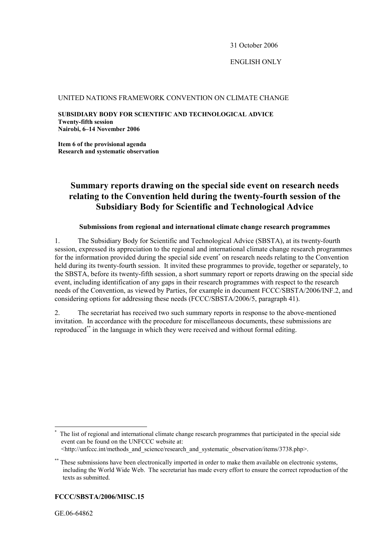31 October 2006

ENGLISH ONLY

### UNITED NATIONS FRAMEWORK CONVENTION ON CLIMATE CHANGE

**SUBSIDIARY BODY FOR SCIENTIFIC AND TECHNOLOGICAL ADVICE Twenty-fifth session Nairobi, 6–14 November 2006** 

**Item 6 of the provisional agenda Research and systematic observation** 

# **Summary reports drawing on the special side event on research needs relating to the Convention held during the twenty-fourth session of the Subsidiary Body for Scientific and Technological Advice**

# **Submissions from regional and international climate change research programmes**

1. The Subsidiary Body for Scientific and Technological Advice (SBSTA), at its twenty-fourth session, expressed its appreciation to the regional and international climate change research programmes for the information provided during the special side event<sup>\*</sup> on research needs relating to the Convention held during its twenty-fourth session. It invited these programmes to provide, together or separately, to the SBSTA, before its twenty-fifth session, a short summary report or reports drawing on the special side event, including identification of any gaps in their research programmes with respect to the research needs of the Convention, as viewed by Parties, for example in document FCCC/SBSTA/2006/INF.2, and considering options for addressing these needs (FCCC/SBSTA/2006/5, paragraph 41).

2. The secretariat has received two such summary reports in response to the above-mentioned invitation. In accordance with the procedure for miscellaneous documents, these submissions are reproduced\*\* in the language in which they were received and without formal editing.

# **FCCC/SBSTA/2006/MISC.15**

 $\overline{a}$ 

<sup>\*</sup> The list of regional and international climate change research programmes that participated in the special side event can be found on the UNFCCC website at:

 <sup>&</sup>lt;http://unfccc.int/methods\_and\_science/research\_and\_systematic\_observation/items/3738.php>.

These submissions have been electronically imported in order to make them available on electronic systems, including the World Wide Web. The secretariat has made every effort to ensure the correct reproduction of the texts as submitted.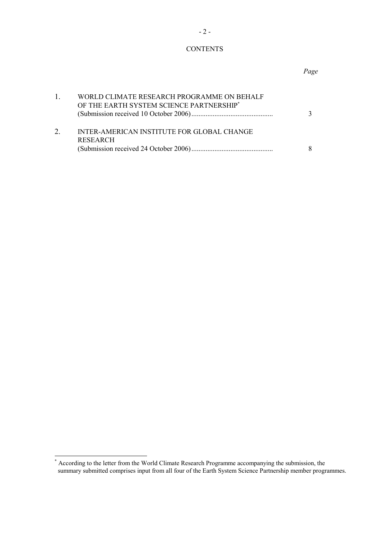# **CONTENTS**

#### *Page*

| WORLD CLIMATE RESEARCH PROGRAMME ON BEHALF<br>OF THE EARTH SYSTEM SCIENCE PARTNERSHIP* | $\mathbf{3}$ |
|----------------------------------------------------------------------------------------|--------------|
| INTER-AMERICAN INSTITUTE FOR GLOBAL CHANGE<br><b>RESEARCH</b>                          | 8            |

<sup>\*&</sup>lt;br>According to the letter from the World Climate Research Programme accompanying the submission, the summary submitted comprises input from all four of the Earth System Science Partnership member programmes.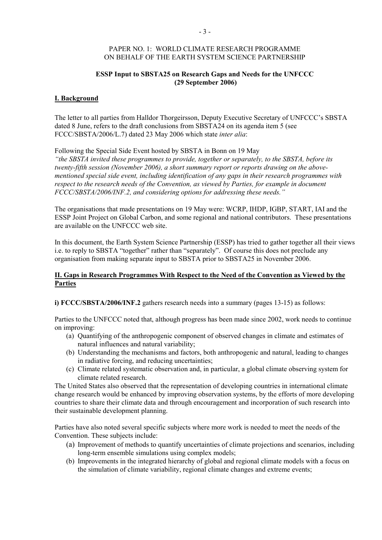## PAPER NO. 1: WORLD CLIMATE RESEARCH PROGRAMME ON BEHALF OF THE EARTH SYSTEM SCIENCE PARTNERSHIP

# **ESSP Input to SBSTA25 on Research Gaps and Needs for the UNFCCC (29 September 2006)**

#### **I. Background**

The letter to all parties from Halldor Thorgeirsson, Deputy Executive Secretary of UNFCCC's SBSTA dated 8 June, refers to the draft conclusions from SBSTA24 on its agenda item 5 (see FCCC/SBSTA/2006/L.7) dated 23 May 2006 which state *inter alia*:

Following the Special Side Event hosted by SBSTA in Bonn on 19 May

*"the SBSTA invited these programmes to provide, together or separately, to the SBSTA, before its twenty-fifth session (November 2006), a short summary report or reports drawing on the abovementioned special side event, including identification of any gaps in their research programmes with respect to the research needs of the Convention, as viewed by Parties, for example in document FCCC/SBSTA/2006/INF.2, and considering options for addressing these needs."* 

The organisations that made presentations on 19 May were: WCRP, IHDP, IGBP, START, IAI and the ESSP Joint Project on Global Carbon, and some regional and national contributors. These presentations are available on the UNFCCC web site.

In this document, the Earth System Science Partnership (ESSP) has tried to gather together all their views i.e. to reply to SBSTA "together" rather than "separately". Of course this does not preclude any organisation from making separate input to SBSTA prior to SBSTA25 in November 2006.

# **II. Gaps in Research Programmes With Respect to the Need of the Convention as Viewed by the Parties**

**i) FCCC/SBSTA/2006/INF.2** gathers research needs into a summary (pages 13-15) as follows:

Parties to the UNFCCC noted that, although progress has been made since 2002, work needs to continue on improving:

- (a) Quantifying of the anthropogenic component of observed changes in climate and estimates of natural influences and natural variability;
- (b) Understanding the mechanisms and factors, both anthropogenic and natural, leading to changes in radiative forcing, and reducing uncertainties;
- (c) Climate related systematic observation and, in particular, a global climate observing system for climate related research.

The United States also observed that the representation of developing countries in international climate change research would be enhanced by improving observation systems, by the efforts of more developing countries to share their climate data and through encouragement and incorporation of such research into their sustainable development planning.

Parties have also noted several specific subjects where more work is needed to meet the needs of the Convention. These subjects include:

- (a) Improvement of methods to quantify uncertainties of climate projections and scenarios, including long-term ensemble simulations using complex models;
- (b) Improvements in the integrated hierarchy of global and regional climate models with a focus on the simulation of climate variability, regional climate changes and extreme events;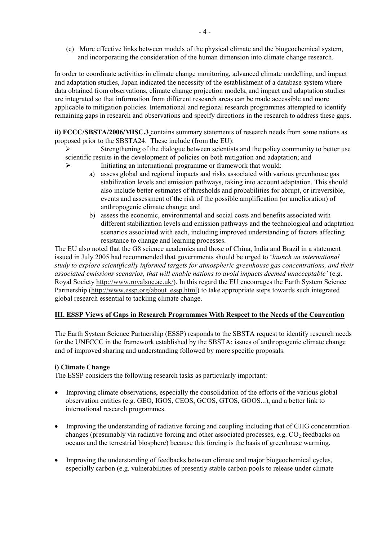(c) More effective links between models of the physical climate and the biogeochemical system, and incorporating the consideration of the human dimension into climate change research.

In order to coordinate activities in climate change monitoring, advanced climate modelling, and impact and adaptation studies, Japan indicated the necessity of the establishment of a database system where data obtained from observations, climate change projection models, and impact and adaptation studies are integrated so that information from different research areas can be made accessible and more applicable to mitigation policies. International and regional research programmes attempted to identify remaining gaps in research and observations and specify directions in the research to address these gaps.

**ii) FCCC/SBSTA/2006/MISC.3** contains summary statements of research needs from some nations as proposed prior to the SBSTA24. These include (from the EU):

- $\triangleright$  Strengthening of the dialogue between scientists and the policy community to better use scientific results in the development of policies on both mitigation and adaptation; and
	- Initiating an international programme or framework that would:
		- a) assess global and regional impacts and risks associated with various greenhouse gas stabilization levels and emission pathways, taking into account adaptation. This should also include better estimates of thresholds and probabilities for abrupt, or irreversible, events and assessment of the risk of the possible amplification (or amelioration) of anthropogenic climate change; and
		- b) assess the economic, environmental and social costs and benefits associated with different stabilization levels and emission pathways and the technological and adaptation scenarios associated with each, including improved understanding of factors affecting resistance to change and learning processes.

The EU also noted that the G8 science academies and those of China, India and Brazil in a statement issued in July 2005 had recommended that governments should be urged to '*launch an international study to explore scientifically informed targets for atmospheric greenhouse gas concentrations, and their associated emissions scenarios, that will enable nations to avoid impacts deemed unacceptable'* (e.g. Royal Society http://www.royalsoc.ac.uk/). In this regard the EU encourages the Earth System Science Partnership (http://www.essp.org/about\_essp.html) to take appropriate steps towards such integrated global research essential to tackling climate change.

# **III. ESSP Views of Gaps in Research Programmes With Respect to the Needs of the Convention**

The Earth System Science Partnership (ESSP) responds to the SBSTA request to identify research needs for the UNFCCC in the framework established by the SBSTA: issues of anthropogenic climate change and of improved sharing and understanding followed by more specific proposals.

# **i) Climate Change**

The ESSP considers the following research tasks as particularly important:

- Improving climate observations, especially the consolidation of the efforts of the various global observation entities (e.g. GEO, IGOS, CEOS, GCOS, GTOS, GOOS...), and a better link to international research programmes.
- Improving the understanding of radiative forcing and coupling including that of GHG concentration changes (presumably via radiative forcing and other associated processes, e.g.  $CO<sub>2</sub>$  feedbacks on oceans and the terrestrial biosphere) because this forcing is the basis of greenhouse warming.
- Improving the understanding of feedbacks between climate and major biogeochemical cycles, especially carbon (e.g. vulnerabilities of presently stable carbon pools to release under climate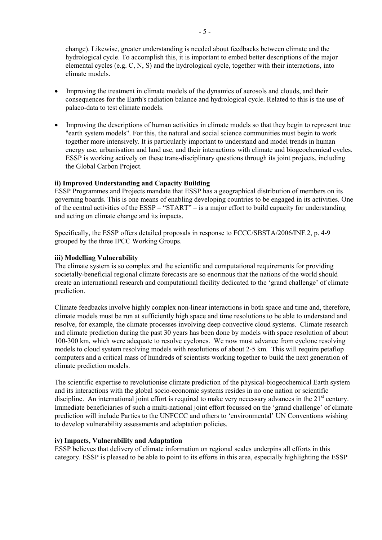change). Likewise, greater understanding is needed about feedbacks between climate and the hydrological cycle. To accomplish this, it is important to embed better descriptions of the major elemental cycles (e.g. C, N, S) and the hydrological cycle, together with their interactions, into climate models.

- Improving the treatment in climate models of the dynamics of aerosols and clouds, and their consequences for the Earth's radiation balance and hydrological cycle. Related to this is the use of palaeo-data to test climate models.
- Improving the descriptions of human activities in climate models so that they begin to represent true "earth system models". For this, the natural and social science communities must begin to work together more intensively. It is particularly important to understand and model trends in human energy use, urbanisation and land use, and their interactions with climate and biogeochemical cycles. ESSP is working actively on these trans-disciplinary questions through its joint projects, including the Global Carbon Project.

# **ii) Improved Understanding and Capacity Building**

ESSP Programmes and Projects mandate that ESSP has a geographical distribution of members on its governing boards. This is one means of enabling developing countries to be engaged in its activities. One of the central activities of the ESSP – "START" – is a major effort to build capacity for understanding and acting on climate change and its impacts.

Specifically, the ESSP offers detailed proposals in response to FCCC/SBSTA/2006/INF.2, p. 4-9 grouped by the three IPCC Working Groups.

# **iii) Modelling Vulnerability**

The climate system is so complex and the scientific and computational requirements for providing societally-beneficial regional climate forecasts are so enormous that the nations of the world should create an international research and computational facility dedicated to the 'grand challenge' of climate prediction.

Climate feedbacks involve highly complex non-linear interactions in both space and time and, therefore, climate models must be run at sufficiently high space and time resolutions to be able to understand and resolve, for example, the climate processes involving deep convective cloud systems. Climate research and climate prediction during the past 30 years has been done by models with space resolution of about 100-300 km, which were adequate to resolve cyclones. We now must advance from cyclone resolving models to cloud system resolving models with resolutions of about 2-5 km. This will require petaflop computers and a critical mass of hundreds of scientists working together to build the next generation of climate prediction models.

The scientific expertise to revolutionise climate prediction of the physical-biogeochemical Earth system and its interactions with the global socio-economic systems resides in no one nation or scientific discipline. An international joint effort is required to make very necessary advances in the 21<sup>st</sup> century. Immediate beneficiaries of such a multi-national joint effort focussed on the 'grand challenge' of climate prediction will include Parties to the UNFCCC and others to 'environmental' UN Conventions wishing to develop vulnerability assessments and adaptation policies.

### **iv) Impacts, Vulnerability and Adaptation**

ESSP believes that delivery of climate information on regional scales underpins all efforts in this category. ESSP is pleased to be able to point to its efforts in this area, especially highlighting the ESSP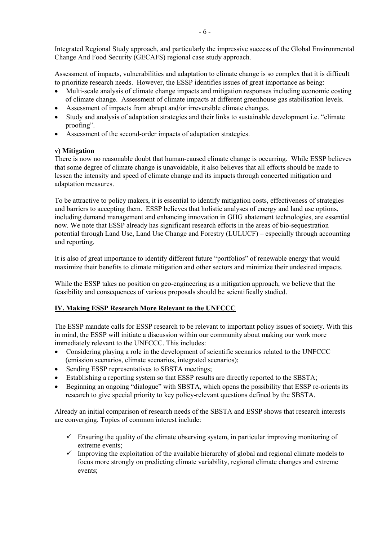Integrated Regional Study approach, and particularly the impressive success of the Global Environmental Change And Food Security (GECAFS) regional case study approach.

Assessment of impacts, vulnerabilities and adaptation to climate change is so complex that it is difficult to prioritize research needs. However, the ESSP identifies issues of great importance as being:

- Multi-scale analysis of climate change impacts and mitigation responses including economic costing of climate change. Assessment of climate impacts at different greenhouse gas stabilisation levels.
- Assessment of impacts from abrupt and/or irreversible climate changes.
- Study and analysis of adaptation strategies and their links to sustainable development i.e. "climate proofing".
- Assessment of the second-order impacts of adaptation strategies.

# **v) Mitigation**

There is now no reasonable doubt that human-caused climate change is occurring. While ESSP believes that some degree of climate change is unavoidable, it also believes that all efforts should be made to lessen the intensity and speed of climate change and its impacts through concerted mitigation and adaptation measures.

To be attractive to policy makers, it is essential to identify mitigation costs, effectiveness of strategies and barriers to accepting them. ESSP believes that holistic analyses of energy and land use options, including demand management and enhancing innovation in GHG abatement technologies, are essential now. We note that ESSP already has significant research efforts in the areas of bio-sequestration potential through Land Use, Land Use Change and Forestry (LULUCF) – especially through accounting and reporting.

It is also of great importance to identify different future "portfolios" of renewable energy that would maximize their benefits to climate mitigation and other sectors and minimize their undesired impacts.

While the ESSP takes no position on geo-engineering as a mitigation approach, we believe that the feasibility and consequences of various proposals should be scientifically studied.

# **IV. Making ESSP Research More Relevant to the UNFCCC**

The ESSP mandate calls for ESSP research to be relevant to important policy issues of society. With this in mind, the ESSP will initiate a discussion within our community about making our work more immediately relevant to the UNFCCC. This includes:

- Considering playing a role in the development of scientific scenarios related to the UNFCCC (emission scenarios, climate scenarios, integrated scenarios);
- Sending ESSP representatives to SBSTA meetings;
- Establishing a reporting system so that ESSP results are directly reported to the SBSTA;
- Beginning an ongoing "dialogue" with SBSTA, which opens the possibility that ESSP re-orients its research to give special priority to key policy-relevant questions defined by the SBSTA.

Already an initial comparison of research needs of the SBSTA and ESSP shows that research interests are converging. Topics of common interest include:

- $\checkmark$  Ensuring the quality of the climate observing system, in particular improving monitoring of extreme events;
- $\checkmark$  Improving the exploitation of the available hierarchy of global and regional climate models to focus more strongly on predicting climate variability, regional climate changes and extreme events;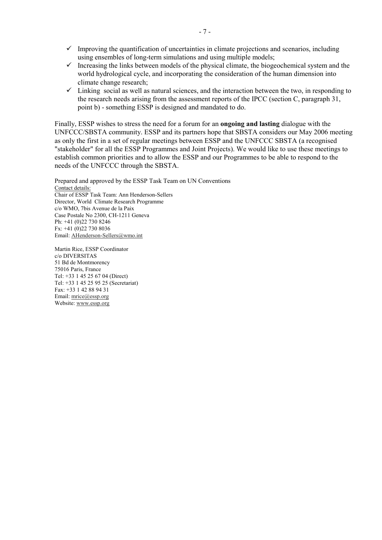- $\checkmark$  Improving the quantification of uncertainties in climate projections and scenarios, including using ensembles of long-term simulations and using multiple models;
- $\checkmark$  Increasing the links between models of the physical climate, the biogeochemical system and the world hydrological cycle, and incorporating the consideration of the human dimension into climate change research;
- $\checkmark$  Linking social as well as natural sciences, and the interaction between the two, in responding to the research needs arising from the assessment reports of the IPCC (section C, paragraph 31, point b) - something ESSP is designed and mandated to do.

Finally, ESSP wishes to stress the need for a forum for an **ongoing and lasting** dialogue with the UNFCCC/SBSTA community. ESSP and its partners hope that SBSTA considers our May 2006 meeting as only the first in a set of regular meetings between ESSP and the UNFCCC SBSTA (a recognised "stakeholder" for all the ESSP Programmes and Joint Projects). We would like to use these meetings to establish common priorities and to allow the ESSP and our Programmes to be able to respond to the needs of the UNFCCC through the SBSTA.

Prepared and approved by the ESSP Task Team on UN Conventions Contact details: Chair of ESSP Task Team: Ann Henderson-Sellers Director, World Climate Research Programme c/o WMO, 7bis Avenue de la Paix Case Postale No 2300, CH-1211 Geneva Ph: +41 (0)22 730 8246 Fx: +41 (0)22 730 8036 Email: AHenderson-Sellers@wmo.int

Martin Rice, ESSP Coordinator c/o DIVERSITAS 51 Bd de Montmorency 75016 Paris, France Tel: +33 1 45 25 67 04 (Direct) Tel: +33 1 45 25 95 25 (Secretariat) Fax: +33 1 42 88 94 31 Email: mrice@essp.org Website: www.essp.org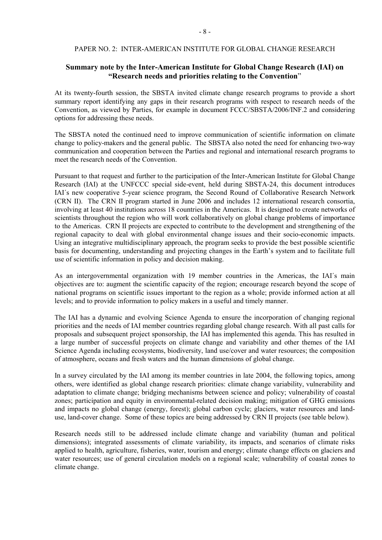#### PAPER NO. 2: INTER-AMERICAN INSTITUTE FOR GLOBAL CHANGE RESEARCH

# **Summary note by the Inter-American Institute for Global Change Research (IAI) on "Research needs and priorities relating to the Convention**"

At its twenty-fourth session, the SBSTA invited climate change research programs to provide a short summary report identifying any gaps in their research programs with respect to research needs of the Convention, as viewed by Parties, for example in document FCCC/SBSTA/2006/INF.2 and considering options for addressing these needs.

The SBSTA noted the continued need to improve communication of scientific information on climate change to policy-makers and the general public. The SBSTA also noted the need for enhancing two-way communication and cooperation between the Parties and regional and international research programs to meet the research needs of the Convention.

Pursuant to that request and further to the participation of the Inter-American Institute for Global Change Research (IAI) at the UNFCCC special side-event, held during SBSTA-24, this document introduces IAI´s new cooperative 5-year science program, the Second Round of Collaborative Research Network (CRN II). The CRN II program started in June 2006 and includes 12 international research consortia, involving at least 40 institutions across 18 countries in the Americas. It is designed to create networks of scientists throughout the region who will work collaboratively on global change problems of importance to the Americas. CRN II projects are expected to contribute to the development and strengthening of the regional capacity to deal with global environmental change issues and their socio-economic impacts. Using an integrative multidisciplinary approach, the program seeks to provide the best possible scientific basis for documenting, understanding and projecting changes in the Earth's system and to facilitate full use of scientific information in policy and decision making.

As an intergovernmental organization with 19 member countries in the Americas, the IAI´s main objectives are to: augment the scientific capacity of the region; encourage research beyond the scope of national programs on scientific issues important to the region as a whole; provide informed action at all levels; and to provide information to policy makers in a useful and timely manner.

The IAI has a dynamic and evolving Science Agenda to ensure the incorporation of changing regional priorities and the needs of IAI member countries regarding global change research. With all past calls for proposals and subsequent project sponsorship, the IAI has implemented this agenda. This has resulted in a large number of successful projects on climate change and variability and other themes of the IAI Science Agenda including ecosystems, biodiversity, land use/cover and water resources; the composition of atmosphere, oceans and fresh waters and the human dimensions of global change.

In a survey circulated by the IAI among its member countries in late 2004, the following topics, among others, were identified as global change research priorities: climate change variability, vulnerability and adaptation to climate change; bridging mechanisms between science and policy; vulnerability of coastal zones; participation and equity in environmental-related decision making; mitigation of GHG emissions and impacts no global change (energy, forest); global carbon cycle; glaciers, water resources and landuse, land-cover change. Some of these topics are being addressed by CRN II projects (see table below).

Research needs still to be addressed include climate change and variability (human and political dimensions); integrated assessments of climate variability, its impacts, and scenarios of climate risks applied to health, agriculture, fisheries, water, tourism and energy; climate change effects on glaciers and water resources; use of general circulation models on a regional scale; vulnerability of coastal zones to climate change.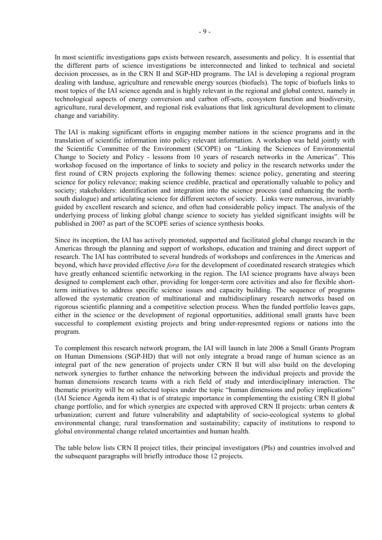In most scientific investigations gaps exists between research, assessments and policy. It is essential that the different parts of science investigations be interconnected and linked to technical and societal decision processes, as in the CRN II and SGP-HD programs. The IAI is developing a regional program dealing with landuse, agriculture and renewable energy sources (biofuels). The topic of biofuels links to most topics of the IAI science agenda and is highly relevant in the regional and global context, namely in technological aspects of energy conversion and carbon off-sets, ecosystem function and biodiversity, agriculture, rural development, and regional risk evaluations that link agricultural development to climate change and variability.

The IAI is making significant efforts in engaging member nations in the science programs and in the translation of scientific information into policy relevant information. A workshop was held jointly with the Scientific Committee of the Environment (SCOPE) on "Linking the Sciences of Environmental Change to Society and Policy - lessons from 10 years of research networks in the Americas". This workshop focused on the importance of links to society and policy in the research networks under the first round of CRN projects exploring the following themes: science policy, generating and steering science for policy relevance; making science credible, practical and operationally valuable to policy and society; stakeholders: identification and integration into the science process (and enhancing the northsouth dialogue) and articulating science for different sectors of society. Links were numerous, invariably guided by excellent research and science, and often had considerable policy impact. The analysis of the underlying process of linking global change science to society has yielded significant insights will be published in 2007 as part of the SCOPE series of science synthesis books.

Since its inception, the IAI has actively promoted, supported and facilitated global change research in the Americas through the planning and support of workshops, education and training and direct support of research. The IAI has contributed to several hundreds of workshops and conferences in the Americas and beyond, which have provided effective *fora* for the development of coordinated research strategies which have greatly enhanced scientific networking in the region. The IAI science programs have always been designed to complement each other, providing for longer-term core activities and also for flexible shortterm initiatives to address specific science issues and capacity building. The sequence of programs allowed the systematic creation of multinational and multidisciplinary research networks based on rigorous scientific planning and a competitive selection process. When the funded portfolio leaves gaps, either in the science or the development of regional opportunities, additional small grants have been successful to complement existing projects and bring under-represented regions or nations into the program.

To complement this research network program, the IAI will launch in late 2006 a Small Grants Program on Human Dimensions (SGP-HD) that will not only integrate a broad range of human science as an integral part of the new generation of projects under CRN II but will also build on the developing network synergies to further enhance the networking between the individual projects and provide the human dimensions research teams with a rich field of study and interdisciplinary interaction. The thematic priority will be on selected topics under the topic "human dimensions and policy implications" (IAI Science Agenda item 4) that is of strategic importance in complementing the existing CRN II global change portfolio, and for which synergies are expected with approved CRN II projects: urban centers & urbanization; current and future vulnerability and adaptability of socio-ecological systems to global environmental change; rural transformation and sustainability; capacity of institutions to respond to global environmental change related uncertainties and human health.

The table below lists CRN II project titles, their principal investigators (PIs) and countries involved and the subsequent paragraphs will briefly introduce those 12 projects.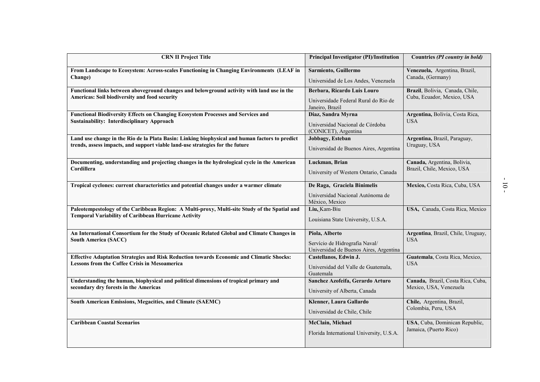| <b>CRN II Project Title</b>                                                                                                                                                     | <b>Principal Investigator (PI)/Institution</b>                                             | Countries (PI country in bold)                                |
|---------------------------------------------------------------------------------------------------------------------------------------------------------------------------------|--------------------------------------------------------------------------------------------|---------------------------------------------------------------|
| From Landscape to Ecosystem: Across-scales Functioning in Changing Environments (LEAF in<br>Change)                                                                             | Sarmiento, Guillermo<br>Universidad de Los Andes, Venezuela                                | Venezuela, Argentina, Brazil,<br>Canada, (Germany)            |
| Functional links between aboveground changes and belowground activity with land use in the<br>Americas: Soil biodiversity and food security                                     | Berbara, Ricardo Luis Louro<br>Universidade Federal Rural do Rio de<br>Janeiro, Brazil     | Brazil, Bolivia, Canada, Chile,<br>Cuba, Ecuador, Mexico, USA |
| Functional Biodiversity Effects on Changing Ecosystem Processes and Services and<br><b>Sustainability: Interdisciplinary Approach</b>                                           | Diaz, Sandra Myrna<br>Universidad Nacional de Córdoba<br>(CONICET), Argentina              | Argentina, Bolivia, Costa Rica,<br><b>USA</b>                 |
| Land use change in the Rio de la Plata Basin: Linking biophysical and human factors to predict<br>trends, assess impacts, and support viable land-use strategies for the future | Jobbagy, Esteban<br>Universidad de Buenos Aires, Argentina                                 | Argentina, Brazil, Paraguay,<br>Uruguay, USA                  |
| Documenting, understanding and projecting changes in the hydrological cycle in the American<br>Cordillera                                                                       | Luckman, Brian<br>University of Western Ontario, Canada                                    | Canada, Argentina, Bolivia,<br>Brazil, Chile, Mexico, USA     |
| Tropical cyclones: current characteristics and potential changes under a warmer climate                                                                                         | De Raga, Graciela Binimelis<br>Universidad Nacional Autónoma de<br>México, Mexico          | Mexico, Costa Rica, Cuba, USA                                 |
| Paleotempestology of the Caribbean Region: A Multi-proxy, Multi-site Study of the Spatial and<br><b>Temporal Variability of Caribbean Hurricane Activity</b>                    | Liu, Kam-Biu<br>Louisiana State University, U.S.A.                                         | USA, Canada, Costa Rica, Mexico                               |
| An International Consortium for the Study of Oceanic Related Global and Climate Changes in<br><b>South America (SACC)</b>                                                       | Piola, Alberto<br>Servício de Hidrografía Naval/<br>Universidad de Buenos Aires, Argentina | Argentina, Brazil, Chile, Uruguay,<br><b>USA</b>              |
| <b>Effective Adaptation Strategies and Risk Reduction towards Economic and Climatic Shocks:</b><br><b>Lessons from the Coffee Crisis in Mesoamerica</b>                         | Castellanos, Edwin J.<br>Universidad del Valle de Guatemala,<br>Guatemala                  | Guatemala, Costa Rica, Mexico,<br><b>USA</b>                  |
| Understanding the human, biophysical and political dimensions of tropical primary and<br>secondary dry forests in the Americas                                                  | Sanchez Azofeifa, Gerardo Arturo<br>University of Alberta, Canada                          | Canada, Brazil, Costa Rica, Cuba,<br>Mexico, USA, Venezuela   |
| South American Emissions, Megacities, and Climate (SAEMC)                                                                                                                       | Klenner, Laura Gallardo<br>Universidad de Chile, Chile                                     | Chile, Argentina, Brazil,<br>Colombia, Peru, USA              |
| <b>Caribbean Coastal Scenarios</b>                                                                                                                                              | McClain, Michael<br>Florida International University, U.S.A.                               | USA, Cuba, Dominican Republic,<br>Jamaica, (Puerto Rico)      |

- 10 -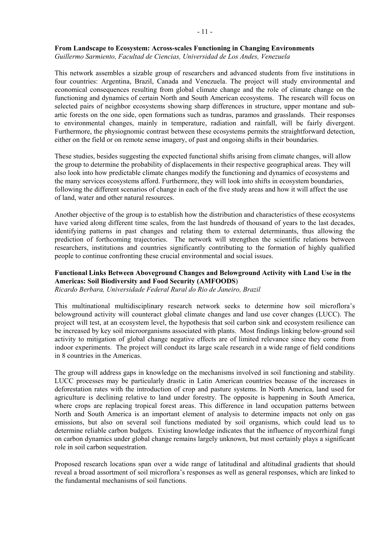#### **From Landscape to Ecosystem: Across-scales Functioning in Changing Environments**

*Guillermo Sarmiento, Facultad de Ciencias, Universidad de Los Andes, Venezuela* 

This network assembles a sizable group of researchers and advanced students from five institutions in four countries: Argentina, Brazil, Canada and Venezuela. The project will study environmental and economical consequences resulting from global climate change and the role of climate change on the functioning and dynamics of certain North and South American ecosystems. The research will focus on selected pairs of neighbor ecosystems showing sharp differences in structure, upper montane and subartic forests on the one side, open formations such as tundras, paramos and grasslands. Their responses to environmental changes, mainly in temperature, radiation and rainfall, will be fairly divergent. Furthermore, the physiognomic contrast between these ecosystems permits the straightforward detection, either on the field or on remote sense imagery, of past and ongoing shifts in their boundaries.

These studies, besides suggesting the expected functional shifts arising from climate changes, will allow the group to determine the probability of displacements in their respective geographical areas. They will also look into how predictable climate changes modify the functioning and dynamics of ecosystems and the many services ecosystems afford. Furthermore, they will look into shifts in ecosystem boundaries, following the different scenarios of change in each of the five study areas and how it will affect the use of land, water and other natural resources.

Another objective of the group is to establish how the distribution and characteristics of these ecosystems have varied along different time scales, from the last hundreds of thousand of years to the last decades, identifying patterns in past changes and relating them to external determinants, thus allowing the prediction of forthcoming trajectories. The network will strengthen the scientific relations between researchers, institutions and countries significantly contributing to the formation of highly qualified people to continue confronting these crucial environmental and social issues.

# **Functional Links Between Aboveground Changes and Belowground Activity with Land Use in the Americas: Soil Biodiversity and Food Security (AMFOODS**)

*Ricardo Berbara, Universidade Federal Rural do Rio de Janeiro, Brazil* 

This multinational multidisciplinary research network seeks to determine how soil microflora's belowground activity will counteract global climate changes and land use cover changes (LUCC). The project will test, at an ecosystem level, the hypothesis that soil carbon sink and ecosystem resilience can be increased by key soil microorganisms associated with plants.Most findings linking below-ground soil activity to mitigation of global change negative effects are of limited relevance since they come from indoor experiments. The project will conduct its large scale research in a wide range of field conditions in 8 countries in the Americas.

The group will address gaps in knowledge on the mechanisms involved in soil functioning and stability. LUCC processes may be particularly drastic in Latin American countries because of the increases in deforestation rates with the introduction of crop and pasture systems. In North America, land used for agriculture is declining relative to land under forestry. The opposite is happening in South America, where crops are replacing tropical forest areas. This difference in land occupation patterns between North and South America is an important element of analysis to determine impacts not only on gas emissions, but also on several soil functions mediated by soil organisms, which could lead us to determine reliable carbon budgets. Existing knowledge indicates that the influence of mycorrhizal fungi on carbon dynamics under global change remains largely unknown, but most certainly plays a significant role in soil carbon sequestration.

Proposed research locations span over a wide range of latitudinal and altitudinal gradients that should reveal a broad assortment of soil microflora's responses as well as general responses, which are linked to the fundamental mechanisms of soil functions.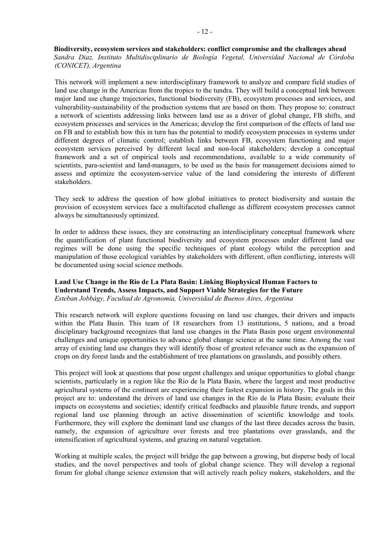**Biodiversity, ecosystem services and stakeholders: conflict compromise and the challenges ahead**  *Sandra Diaz, Instituto Multidisciplinario de Biología Vegetal, Universidad Nacional de Córdoba (CONICET), Argentina* 

This network will implement a new interdisciplinary framework to analyze and compare field studies of land use change in the Americas from the tropics to the tundra. They will build a conceptual link between major land use change trajectories, functional biodiversity (FB), ecosystem processes and services, and vulnerability-sustainability of the production systems that are based on them. They propose to: construct a network of scientists addressing links between land use as a driver of global change, FB shifts, and ecosystem processes and services in the Americas; develop the first comparison of the effects of land use on FB and to establish how this in turn has the potential to modify ecosystem processes in systems under different degrees of climatic control; establish links between FB, ecosystem functioning and major ecosystem services perceived by different local and non-local stakeholders; develop a conceptual framework and a set of empirical tools and recommendations, available to a wide community of scientists, para-scientist and land-managers, to be used as the basis for management decisions aimed to assess and optimize the ecosystem-service value of the land considering the interests of different stakeholders.

They seek to address the question of how global initiatives to protect biodiversity and sustain the provision of ecosystem services face a multifaceted challenge as different ecosystem processes cannot always be simultaneously optimized.

In order to address these issues, they are constructing an interdisciplinary conceptual framework where the quantification of plant functional biodiversity and ecosystem processes under different land use regimes will be done using the specific techniques of plant ecology whilst the perception and manipulation of those ecological variables by stakeholders with different, often conflicting, interests will be documented using social science methods.

### **Land Use Change in the Rio de La Plata Basin: Linking Biophysical Human Factors to Understand Trends, Assess Impacts, and Support Viable Strategies for the Future**  *Esteban Jobbágy, Facultad de Agronomía, Universidad de Buenos Aires, Argentina*

This research network will explore questions focusing on land use changes, their drivers and impacts within the Plata Basin. This team of 18 researchers from 13 institutions, 5 nations, and a broad disciplinary background recognizes that land use changes in the Plata Basin pose urgent environmental challenges and unique opportunities to advance global change science at the same time. Among the vast array of existing land use changes they will identify those of greatest relevance such as the expansion of crops on dry forest lands and the establishment of tree plantations on grasslands, and possibly others.

This project will look at questions that pose urgent challenges and unique opportunities to global change scientists, particularly in a region like the Rio de la Plata Basin, where the largest and most productive agricultural systems of the continent are experiencing their fastest expansion in history. The goals in this project are to: understand the drivers of land use changes in the Río de la Plata Basin; evaluate their impacts on ecosystems and societies; identify critical feedbacks and plausible future trends, and support regional land use planning through an active dissemination of scientific knowledge and tools. Furthermore, they will explore the dominant land use changes of the last three decades across the basin, namely, the expansion of agriculture over forests and tree plantations over grasslands, and the intensification of agricultural systems, and grazing on natural vegetation.

Working at multiple scales, the project will bridge the gap between a growing, but disperse body of local studies, and the novel perspectives and tools of global change science. They will develop a regional forum for global change science extension that will actively reach policy makers, stakeholders, and the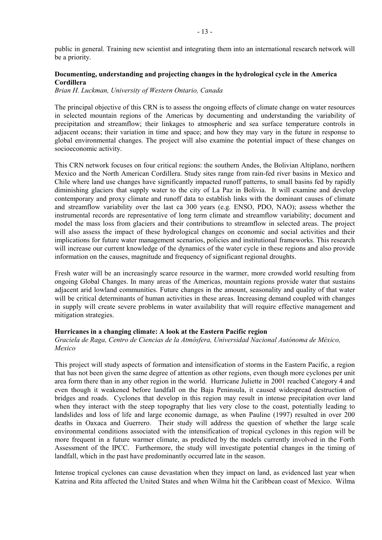public in general. Training new scientist and integrating them into an international research network will be a priority.

# **Documenting, understanding and projecting changes in the hydrological cycle in the America Cordillera**

*Brian H. Luckman, University of Western Ontario, Canada* 

The principal objective of this CRN is to assess the ongoing effects of climate change on water resources in selected mountain regions of the Americas by documenting and understanding the variability of precipitation and streamflow; their linkages to atmospheric and sea surface temperature controls in adjacent oceans; their variation in time and space; and how they may vary in the future in response to global environmental changes. The project will also examine the potential impact of these changes on socioeconomic activity.

This CRN network focuses on four critical regions: the southern Andes, the Bolivian Altiplano, northern Mexico and the North American Cordillera. Study sites range from rain-fed river basins in Mexico and Chile where land use changes have significantly impacted runoff patterns, to small basins fed by rapidly diminishing glaciers that supply water to the city of La Paz in Bolivia. It will examine and develop contemporary and proxy climate and runoff data to establish links with the dominant causes of climate and streamflow variability over the last ca 300 years (e.g. ENSO, PDO, NAO); assess whether the instrumental records are representative of long term climate and streamflow variability; document and model the mass loss from glaciers and their contributions to streamflow in selected areas. The project will also assess the impact of these hydrological changes on economic and social activities and their implications for future water management scenarios, policies and institutional frameworks. This research will increase our current knowledge of the dynamics of the water cycle in these regions and also provide information on the causes, magnitude and frequency of significant regional droughts.

Fresh water will be an increasingly scarce resource in the warmer, more crowded world resulting from ongoing Global Changes. In many areas of the Americas, mountain regions provide water that sustains adjacent arid lowland communities. Future changes in the amount, seasonality and quality of that water will be critical determinants of human activities in these areas. Increasing demand coupled with changes in supply will create severe problems in water availability that will require effective management and mitigation strategies.

#### **Hurricanes in a changing climate: A look at the Eastern Pacific region**

### *Graciela de Raga, Centro de Ciencias de la Atmósfera, Universidad Nacional Autónoma de México, Mexico*

This project will study aspects of formation and intensification of storms in the Eastern Pacific, a region that has not been given the same degree of attention as other regions, even though more cyclones per unit area form there than in any other region in the world. Hurricane Juliette in 2001 reached Category 4 and even though it weakened before landfall on the Baja Peninsula, it caused widespread destruction of bridges and roads. Cyclones that develop in this region may result in intense precipitation over land when they interact with the steep topography that lies very close to the coast, potentially leading to landslides and loss of life and large economic damage, as when Pauline (1997) resulted in over 200 deaths in Oaxaca and Guerrero. Their study will address the question of whether the large scale environmental conditions associated with the intensification of tropical cyclones in this region will be more frequent in a future warmer climate, as predicted by the models currently involved in the Forth Assessment of the IPCC. Furthermore, the study will investigate potential changes in the timing of landfall, which in the past have predominantly occurred late in the season.

Intense tropical cyclones can cause devastation when they impact on land, as evidenced last year when Katrina and Rita affected the United States and when Wilma hit the Caribbean coast of Mexico. Wilma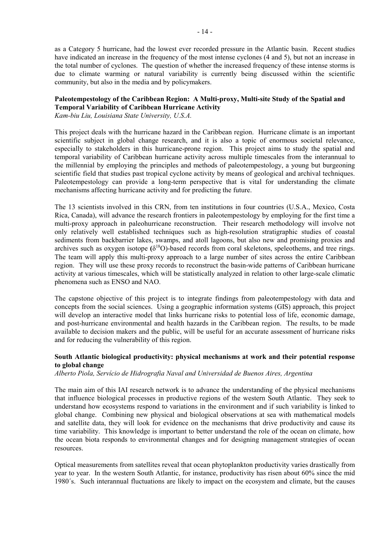as a Category 5 hurricane, had the lowest ever recorded pressure in the Atlantic basin. Recent studies have indicated an increase in the frequency of the most intense cyclones  $(4 \text{ and } 5)$ , but not an increase in the total number of cyclones. The question of whether the increased frequency of these intense storms is due to climate warming or natural variability is currently being discussed within the scientific community, but also in the media and by policymakers.

# **Paleotempestology of the Caribbean Region: A Multi-proxy, Multi-site Study of the Spatial and Temporal Variability of Caribbean Hurricane Activity**

*Kam-biu Liu, Louisiana State University, U.S.A.* 

This project deals with the hurricane hazard in the Caribbean region. Hurricane climate is an important scientific subject in global change research, and it is also a topic of enormous societal relevance, especially to stakeholders in this hurricane-prone region. This project aims to study the spatial and temporal variability of Caribbean hurricane activity across multiple timescales from the interannual to the millennial by employing the principles and methods of paleotempestology, a young but burgeoning scientific field that studies past tropical cyclone activity by means of geological and archival techniques. Paleotempestology can provide a long-term perspective that is vital for understanding the climate mechanisms affecting hurricane activity and for predicting the future.

The 13 scientists involved in this CRN, from ten institutions in four countries (U.S.A., Mexico, Costa Rica, Canada), will advance the research frontiers in paleotempestology by employing for the first time a multi-proxy approach in paleohurricane reconstruction. Their research methodology will involve not only relatively well established techniques such as high-resolution stratigraphic studies of coastal sediments from backbarrier lakes, swamps, and atoll lagoons, but also new and promising proxies and archives such as oxygen isotope  $(\delta^{18}O)$ -based records from coral skeletons, speleothems, and tree rings. The team will apply this multi-proxy approach to a large number of sites across the entire Caribbean region. They will use these proxy records to reconstruct the basin-wide patterns of Caribbean hurricane activity at various timescales, which will be statistically analyzed in relation to other large-scale climatic phenomena such as ENSO and NAO.

The capstone objective of this project is to integrate findings from paleotempestology with data and concepts from the social sciences. Using a geographic information systems (GIS) approach, this project will develop an interactive model that links hurricane risks to potential loss of life, economic damage, and post-hurricane environmental and health hazards in the Caribbean region. The results, to be made available to decision makers and the public, will be useful for an accurate assessment of hurricane risks and for reducing the vulnerability of this region.

# **South Atlantic biological productivity: physical mechanisms at work and their potential response to global change**

*Alberto Piola, Servício de Hidrografia Naval and Universidad de Buenos Aires, Argentina* 

The main aim of this IAI research network is to advance the understanding of the physical mechanisms that influence biological processes in productive regions of the western South Atlantic. They seek to understand how ecosystems respond to variations in the environment and if such variability is linked to global change. Combining new physical and biological observations at sea with mathematical models and satellite data, they will look for evidence on the mechanisms that drive productivity and cause its time variability. This knowledge is important to better understand the role of the ocean on climate, how the ocean biota responds to environmental changes and for designing management strategies of ocean resources.

Optical measurements from satellites reveal that ocean phytoplankton productivity varies drastically from year to year. In the western South Atlantic, for instance, productivity has risen about 60% since the mid 1980´s. Such interannual fluctuations are likely to impact on the ecosystem and climate, but the causes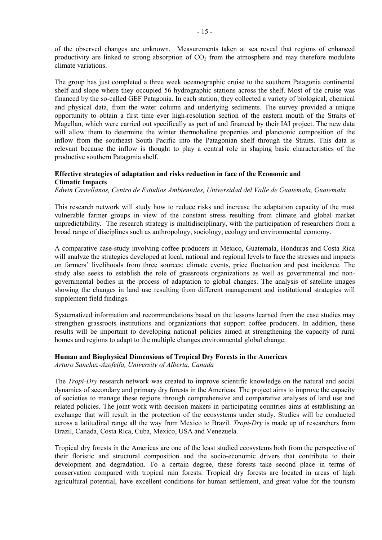of the observed changes are unknown. Measurements taken at sea reveal that regions of enhanced productivity are linked to strong absorption of  $CO<sub>2</sub>$  from the atmosphere and may therefore modulate climate variations.

The group has just completed a three week oceanographic cruise to the southern Patagonia continental shelf and slope where they occupied 56 hydrographic stations across the shelf. Most of the cruise was financed by the so-called GEF Patagonia. In each station, they collected a variety of biological, chemical and physical data, from the water column and underlying sediments. The survey provided a unique opportunity to obtain a first time ever high-resolution section of the eastern mouth of the Straits of Magellan, which were carried out specifically as part of and financed by their IAI project. The new data will allow them to determine the winter thermohaline properties and planctonic composition of the inflow from the southeast South Pacific into the Patagonian shelf through the Straits. This data is relevant because the inflow is thought to play a central role in shaping basic characteristics of the productive southern Patagonia shelf.

### **Effective strategies of adaptation and risks reduction in face of the Economic and Climatic Impacts**

*Edwin Castellanos, Centro de Estudios Ambientales, Universidad del Valle de Guatemala, Guatemala* 

This research network will study how to reduce risks and increase the adaptation capacity of the most vulnerable farmer groups in view of the constant stress resulting from climate and global market unpredictability. The research strategy is multidisciplinary, with the participation of researchers from a broad range of disciplines such as anthropology, sociology, ecology and environmental economy.

A comparative case-study involving coffee producers in Mexico, Guatemala, Honduras and Costa Rica will analyze the strategies developed at local, national and regional levels to face the stresses and impacts on farmers' livelihoods from three sources: climate events, price fluctuation and pest incidence. The study also seeks to establish the role of grassroots organizations as well as governmental and nongovernmental bodies in the process of adaptation to global changes. The analysis of satellite images showing the changes in land use resulting from different management and institutional strategies will supplement field findings.

Systematized information and recommendations based on the lessons learned from the case studies may strengthen grassroots institutions and organizations that support coffee producers. In addition, these results will be important to developing national policies aimed at strengthening the capacity of rural homes and regions to adapt to the multiple changes environmental global change.

### **Human and Biophysical Dimensions of Tropical Dry Forests in the Americas**

*Arturo Sanchez-Azofeifa, University of Alberta, Canada*

The *Tropi-Dry* research network was created to improve scientific knowledge on the natural and social dynamics of secondary and primary dry forests in the Americas. The project aims to improve the capacity of societies to manage these regions through comprehensive and comparative analyses of land use and related policies. The joint work with decision makers in participating countries aims at establishing an exchange that will result in the protection of the ecosystems under study. Studies will be conducted across a latitudinal range all the way from Mexico to Brazil. *Tropi-Dry* is made up of researchers from Brazil, Canada, Costa Rica, Cuba, Mexico, USA and Venezuela.

Tropical dry forests in the Americas are one of the least studied ecosystems both from the perspective of their floristic and structural composition and the socio-economic drivers that contribute to their development and degradation. To a certain degree, these forests take second place in terms of conservation compared with tropical rain forests. Tropical dry forests are located in areas of high agricultural potential, have excellent conditions for human settlement, and great value for the tourism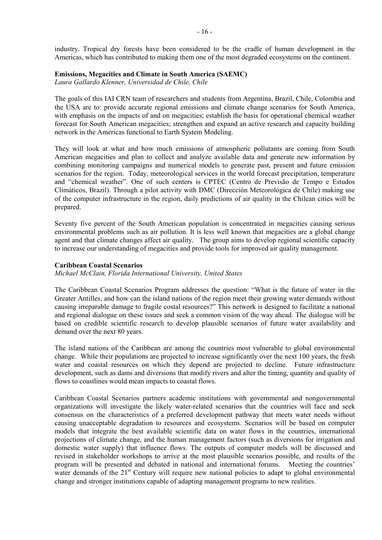industry. Tropical dry forests have been considered to be the cradle of human development in the Americas, which has contributed to making them one of the most degraded ecosystems on the continent.

#### **Emissions, Megacities and Climate in South America (SAEMC)**

*Laura Gallardo Klenner, Universidad de Chile, Chile* 

The goals of this IAI CRN team of researchers and students from Argentina, Brazil, Chile, Colombia and the USA are to: provide accurate regional emissions and climate change scenarios for South America, with emphasis on the impacts of and on megacities; establish the basis for operational chemical weather forecast for South American megacities; strengthen and expand an active research and capacity building network in the Americas functional to Earth System Modeling.

They will look at what and how much emissions of atmospheric pollutants are coming from South American megacities and plan to collect and analyze available data and generate new information by combining monitoring campaigns and numerical models to generate past, present and future emission scenarios for the region. Today, meteorological services in the world forecast precipitation, temperature and "chemical weather". One of such centers is CPTEC (Centro de Previsão de Tempo e Estudos Climáticos, Brazil). Through a pilot activity with DMC (Dirección Meteorológica de Chile) making use of the computer infrastructure in the region, daily predictions of air quality in the Chilean cities will be prepared.

Seventy five percent of the South American population is concentrated in megacities causing serious environmental problems such as air pollution. It is less well known that megacities are a global change agent and that climate changes affect air quality. The group aims to develop regional scientific capacity to increase our understanding of megacities and provide tools for improved air quality management.

#### **Caribbean Coastal Scenarios**

#### *Michael McClain, Florida International University, United States*

The Caribbean Coastal Scenarios Program addresses the question: "What is the future of water in the Greater Antilles, and how can the island nations of the region meet their growing water demands without causing irreparable damage to fragile costal resources?" This network is designed to facilitate a national and regional dialogue on these issues and seek a common vision of the way ahead. The dialogue will be based on credible scientific research to develop plausible scenarios of future water availability and demand over the next 80 years.

The island nations of the Caribbean are among the countries most vulnerable to global environmental change. While their populations are projected to increase significantly over the next 100 years, the fresh water and coastal resources on which they depend are projected to decline. Future infrastructure development, such as dams and diversions that modify rivers and alter the timing, quantity and quality of flows to coastlines would mean impacts to coastal flows.

Caribbean Coastal Scenarios partners academic institutions with governmental and nongovernmental organizations will investigate the likely water-related scenarios that the countries will face and seek consensus on the characteristics of a preferred development pathway that meets water needs without causing unacceptable degradation to resources and ecosystems. Scenarios will be based on computer models that integrate the best available scientific data on water flows in the countries, international projections of climate change, and the human management factors (such as diversions for irrigation and domestic water supply) that influence flows. The outputs of computer models will be discussed and revised in stakeholder workshops to arrive at the most plausible scenarios possible, and results of the program will be presented and debated in national and international forums. Meeting the countries' water demands of the  $21<sup>st</sup>$  Century will require new national policies to adapt to global environmental change and stronger institutions capable of adapting management programs to new realities.